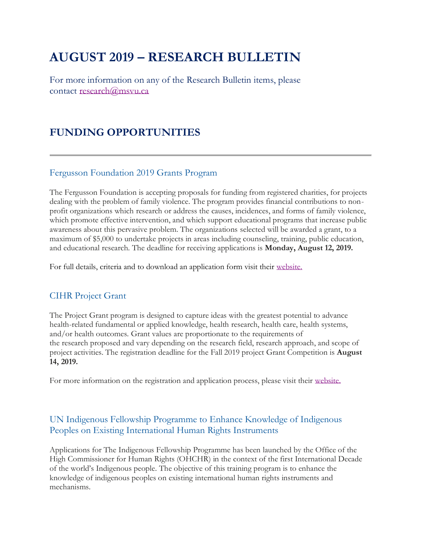# **AUGUST 2019 – RESEARCH BULLETIN**

For more information on any of the Research Bulletin items, please contact [research@msvu.ca](mailto:research@msvu.ca)

### **FUNDING OPPORTUNITIES**

#### Fergusson Foundation 2019 Grants Program

The Fergusson Foundation is accepting proposals for funding from registered charities, for projects dealing with the problem of family violence. The program provides financial contributions to nonprofit organizations which research or address the causes, incidences, and forms of family violence, which promote effective intervention, and which support educational programs that increase public awareness about this pervasive problem. The organizations selected will be awarded a grant, to a maximum of \$5,000 to undertake projects in areas including counseling, training, public education, and educational research. The deadline for receiving applications is **Monday, August 12, 2019.**

For full details, criteria and to download an application form visit their [website.](http://www.fergussonfoundation.ca/grants/)

### CIHR Project Grant

The Project Grant program is designed to capture ideas with the greatest potential to advance health-related fundamental or applied knowledge, health research, health care, health systems, and/or health outcomes. Grant values are proportionate to the requirements of the research proposed and vary depending on the research field, research approach, and scope of project activities. The registration deadline for the Fall 2019 project Grant Competition is **August 14, 2019.**

For more information on the registration and application process, please visit their [website.](http://www.cihr-irsc.gc.ca/e/49051.html)

#### UN Indigenous Fellowship Programme to Enhance Knowledge of Indigenous Peoples on Existing International Human Rights Instruments

Applications for The Indigenous Fellowship Programme has been launched by the Office of the High Commissioner for Human Rights (OHCHR) in the context of the first International Decade of the world's Indigenous people. The objective of this training program is to enhance the knowledge of indigenous peoples on existing international human rights instruments and mechanisms.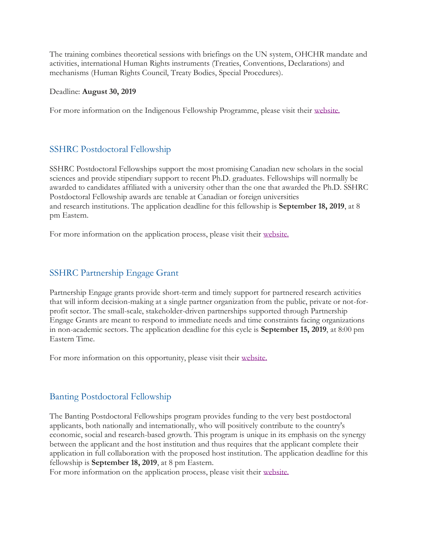The training combines theoretical sessions with briefings on the UN system, OHCHR mandate and activities, international Human Rights instruments (Treaties, Conventions, Declarations) and mechanisms (Human Rights Council, Treaty Bodies, Special Procedures).

#### Deadline: **August 30, 2019**

For more information on the Indigenous Fellowship Programme, please visit their [website.](https://www.ohchr.org/EN/Issues/IPeoples/Pages/IFP.aspx)

#### SSHRC Postdoctoral Fellowship

SSHRC Postdoctoral Fellowships support the most promising Canadian new scholars in the social sciences and provide stipendiary support to recent Ph.D. graduates. Fellowships will normally be awarded to candidates affiliated with a university other than the one that awarded the Ph.D. SSHRC Postdoctoral Fellowship awards are tenable at Canadian or foreign universities and research institutions. The application deadline for this fellowship is **September 18, 2019**, at 8 pm Eastern.

For more information on the application process, please visit their [website.](http://www.sshrc-crsh.gc.ca/funding-financement/programs-programmes/fellowships/postdoctoral-postdoctorale-eng.aspx)

#### SSHRC Partnership Engage Grant

Partnership Engage grants provide short-term and timely support for partnered research activities that will inform decision-making at a single partner organization from the public, private or not-forprofit sector. The small-scale, stakeholder-driven partnerships supported through Partnership Engage Grants are meant to respond to immediate needs and time constraints facing organizations in non-academic sectors. The application deadline for this cycle is **September 15, 2019**, at 8:00 pm Eastern Time.

For more information on this opportunity, please visit their [website.](http://www.sshrc-crsh.gc.ca/funding-financement/programs-programmes/partnership_engage_grants-subventions_d_engagement_partenarial-eng.aspx)

#### Banting Postdoctoral Fellowship

The Banting Postdoctoral Fellowships program provides funding to the very best postdoctoral applicants, both nationally and internationally, who will positively contribute to the country's economic, social and research-based growth. This program is unique in its emphasis on the synergy between the applicant and the host institution and thus requires that the applicant complete their application in full collaboration with the proposed host institution. The application deadline for this fellowship is **September 18, 2019**, at 8 pm Eastern.

For more information on the application process, please visit their [website.](http://banting.fellowships-bourses.gc.ca/en/news-nouv_2019-20.html)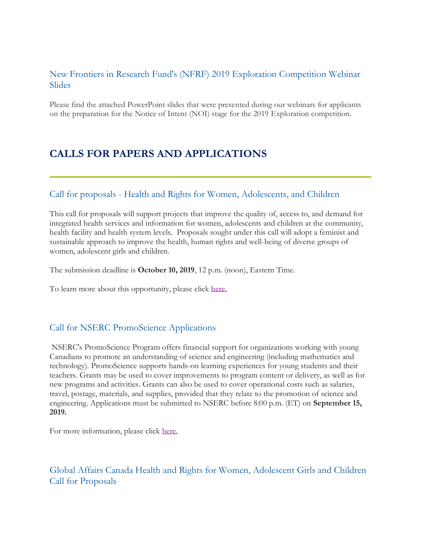### New Frontiers in Research Fund's (NFRF) 2019 Exploration Competition Webinar **Slides**

Please find the attached PowerPoint slides that were presented during our webinars for applicants on the preparation for the Notice of Intent (NOI) stage for the 2019 Exploration competition.

## **CALLS FOR PAPERS AND APPLICATIONS**

#### Call for proposals - Health and Rights for Women, Adolescents, and Children

This call for proposals will support projects that improve the quality of, access to, and demand for integrated health services and information for women, adolescents and children at the community, health facility and health system levels. Proposals sought under this call will adopt a feminist and sustainable approach to improve the health, human rights and well-being of diverse groups of women, adolescent girls and children.

The submission deadline is **October 10, 2019**, 12 p.m. (noon), Eastern Time.

To learn more about this opportunity, please click [here.](https://www.international.gc.ca/world-monde/funding-financement/health_rights_women-sante_droits_femmes.aspx?lang=eng)

#### Call for NSERC PromoScience Applications

NSERC's PromoScience Program offers financial support for organizations working with young Canadians to promote an understanding of science and engineering (including mathematics and technology). PromoScience supports hands-on learning experiences for young students and their teachers. Grants may be used to cover improvements to program content or delivery, as well as for new programs and activities. Grants can also be used to cover operational costs such as salaries, travel, postage, materials, and supplies, provided that they relate to the promotion of science and engineering. Applications must be submitted to NSERC before 8:00 p.m. (ET) on **September 15, 2019.**

For more information, please click [here.](http://www.nserc-crsng.gc.ca/Promoter-Promotion/PromoScience-PromoScience/About-Apropos_eng.asp)

Global Affairs Canada Health and Rights for Women, Adolescent Girls and Children Call for Proposals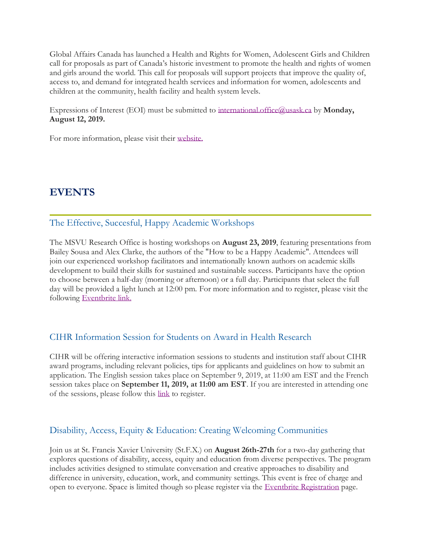Global Affairs Canada has launched a Health and Rights for Women, Adolescent Girls and Children call for proposals as part of Canada's historic investment to promote the health and rights of women and girls around the world. This call for proposals will support projects that improve the quality of, access to, and demand for integrated health services and information for women, adolescents and children at the community, health facility and health system levels.

Expressions of Interest (EOI) must be submitted to [international.office@usask.ca](mailto:international.office@usask.ca) by **Monday, August 12, 2019.**

For more information, please visit their [website.](https://www.international.gc.ca/world-monde/funding-financement/health_rights_women-sante_droits_femmes.aspx?lang=eng)

### **EVENTS**

#### The Effective, Succesful, Happy Academic Workshops

The MSVU Research Office is hosting workshops on **August 23, 2019**, featuring presentations from Bailey Sousa and Alex Clarke, the authors of the "How to be a Happy Academic". Attendees will join our experienced workshop facilitators and internationally known authors on academic skills development to build their skills for sustained and sustainable success. Participants have the option to choose between a half-day (morning or afternoon) or a full day. Participants that select the full day will be provided a light lunch at 12:00 pm. For more information and to register, please visit the following [Eventbrite link.](https://www.eventbrite.ca/e/the-effective-successful-happy-academic-tickets-63869345933)

#### CIHR Information Session for Students on Award in Health Research

CIHR will be offering interactive information sessions to students and institution staff about CIHR award programs, including relevant policies, tips for applicants and guidelines on how to submit an application. The English session takes place on September 9, 2019, at 11:00 am EST and the French session takes place on **September 11, 2019, at 11:00 am EST**. If you are interested in attending one of the sessions, please follow this [link](http://www.cihr-irsc.gc.ca/e/45096.html) to register.

#### Disability, Access, Equity & Education: Creating Welcoming Communities

Join us at St. Francis Xavier University (St.F.X.) on **August 26th-27th** for a two-day gathering that explores questions of disability, access, equity and education from diverse perspectives. The program includes activities designed to stimulate conversation and creative approaches to disability and difference in university, education, work, and community settings. This event is free of charge and open to everyone. Space is limited though so please register via the [Eventbrite Registration](https://www.eventbrite.ca/e/disability-access-equity-education-creating-welcoming-communities-tickets-65363789855) page.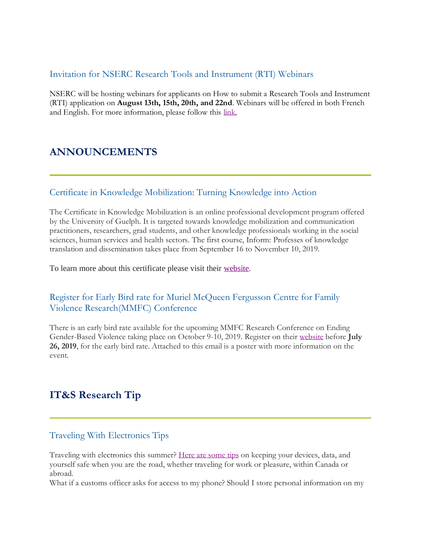#### Invitation for NSERC Research Tools and Instrument (RTI) Webinars

NSERC will be hosting webinars for applicants on How to submit a Research Tools and Instrument (RTI) application on **August 13th, 15th, 20th, and 22nd**. Webinars will be offered in both French and English. For more information, please follow this [link.](http://www.nserc-crsng.gc.ca/ResearchPortal-PortailDeRecherche/RP-CCV-Webinar_eng.asp)

### **ANNOUNCEMENTS**

#### Certificate in Knowledge Mobilization: Turning Knowledge into Action

The Certificate in Knowledge Mobilization is an online professional development program offered by the University of Guelph. It is targeted towards knowledge mobilization and communication practitioners, researchers, grad students, and other knowledge professionals working in the social sciences, human services and health sectors. The first course, Inform: Professes of knowledge translation and dissemination takes place from September 16 to November 10, 2019.

To learn more about this certificate please visit their [website.](https://courses.opened.uoguelph.ca/public/category/courseCategoryCertificateProfile.do?method=load&certificateId=453705)

### Register for Early Bird rate for Muriel McQueen Fergusson Centre for Family Violence Research(MMFC) Conference

There is an early bird rate available for the upcoming MMFC Research Conference on Ending Gender-Based Violence taking place on October 9-10, 2019. Register on their [website](https://www.regonline.com/registration/Checkin.aspx?EventID=2565700) before **July 26, 2019**, for the early bird rate. Attached to this email is a poster with more information on the event.

### **IT&S Research Tip**

#### Traveling With Electronics Tips

Traveling with electronics this summer? [Here are some](https://www.msvu.ca/en/home/studentservices/itservices/ITSecurity/travelling-with-electronics.aspx?src=rn) tips on keeping your devices, data, and yourself safe when you are the road, whether traveling for work or pleasure, within Canada or abroad.

What if a customs officer asks for access to my phone? Should I store personal information on my